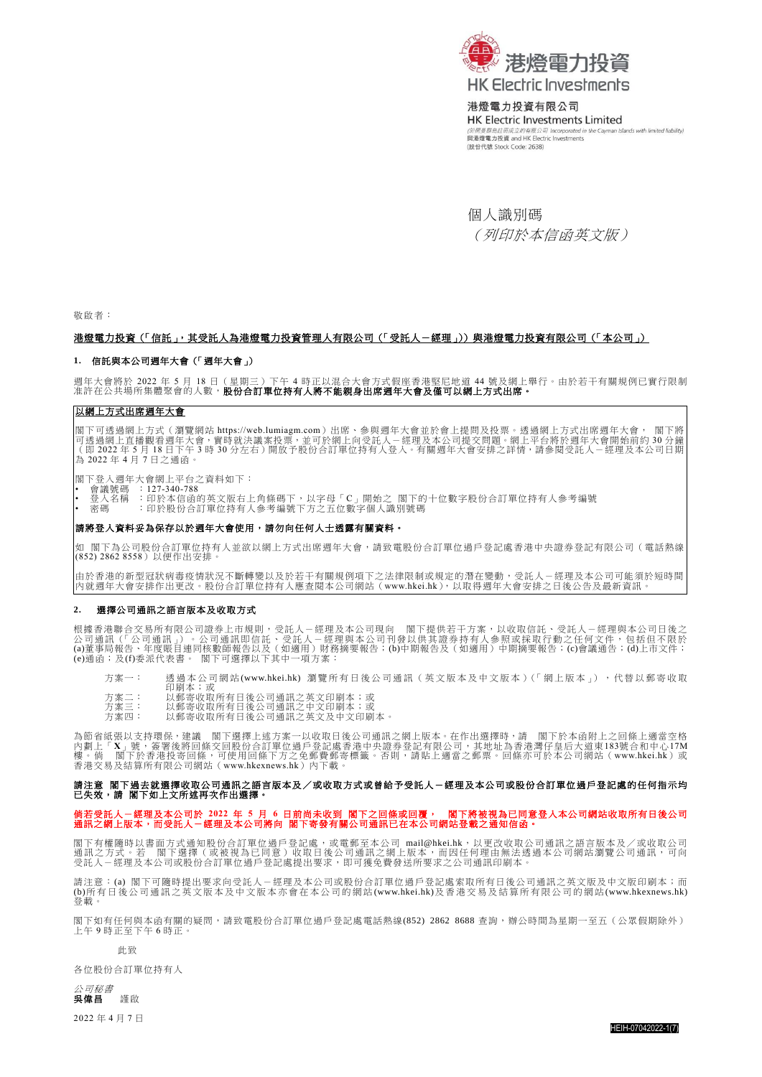

### 港燈電力投資有限公司

HK Electric Investments Limited Islands with limited liability) (於開曼群島註冊成立的有限公司 Incorporated in the Cayi<br>**與港燈電力投資 and HK Electric Investments** (股份代號 Stock Code: 2638)

個人識別碼 (列印於本信函英文版)

敬啟者:

#### 港燈電力投資(「信託」,其受託人為港燈電力投資管理人有限公司(「受託人-經理」))與港燈電力投資有限公司(「本公司」)

#### **1.** 信託與本公司週年大會(「週年大會」)

週年大會將於 2022 年 5 月 18 日(星期三)下午 4 時正以混合大會方式假座香港堅尼地道 44 號及網上舉行。由於若干有關規例已實行限制<br>准許在公共場所集體聚會的人數,**股份合訂單位持有人將不能親身出席週年大會及僅可以網上方式出席。** 

### 以網上方式出席週年大會

閣下可透過網上方式(瀏覽網站 [https://web.lumiagm.com](https://web.lumiagm.com/))出席、参與週年大會並於會上提問及投票。透過網上方式出席週年大會, 閣下將<br>可透過網上直播觀看週年大會,實時就決議案投票,並可於網上向受託人-經理及本公司提交問題。網上平台將於週年大會開始前約 30 分鐘<br>(即 2022 年 5 月 18 日下午 3 時 30 分左右)開放予股份合訂單位持有人登入。有關週年大會安排之詳情,請參閱受託人-經理及本公司日期 為 2022 年 4 月 7 日之通函。

閣下登入週年大會網上平台之資料如下: • 會議號碼 :127-340-788

• 登人名稱 :印於本信函的英文版右上角條碼下,以字母「C」開始之 閣下的十位數字股份合訂單位持有人參考編號<br>• 密碼 : 印於股份合訂單位持有人參考編號下方之五位數字個人識別號碼

#### 請將登入資料妥為保存以於週年大會使用,請勿向任何人士透露有關資料。

如 閣下為公司股份合訂單位持有人並欲以網上方式出席週年大會,請致電股份合訂單位過戶登記處香港中央證券登記有限公司(電話熱線<br>(852)2862 8558)以便作出安排。

由於香港的新型冠狀病毒疫情狀況不斷轉變以及於若干有關規例項下之法律限制或規定的潛在變動,受託人-經理及本公司可能須於短時間<br>內就週年大會安排作出更改。股份合訂單位持有人應查閱本公司網站([www.hkei.hk](https://www.hkelectric.com/zh)),以取得週年大會安排之日後公告及最新資訊。

#### **2.** 選擇公司通訊之語言版本及收取方式

根據香港聯合交易所有限公司證券上市規則,受託人-經理及本公司現向 | 閻下提供若干方案,以收取信託、受託人-經理與本公司日後之<br>公司道訊(「公司通訊」)。公司通訊即信託、受託人-經理與本公司刊發以供其證券持有人参照或採取行動之任何文件,包括但不限於<br>(a)董事局報告、年度賬目連同核數師報告以及(如適用)財務摘要報告;(b)中期報告及(如適用)中期摘要報告;(c)會議通告;(d)上市文件;<br>(e)通函;及(f)委派代表書。 閣下可選擇以下其

方案一: 透過本公司網站[\(www.hkei.hk\)](https://www.hkelectric.com/zh) 瀏覽所有日後公司通訊 (英文版本及中文版本)(「網上版本」),代替以郵寄收取

- 印刷本;或
- 方案二: 以郵寄收取所有日後公司通訊之英文印刷本;或 方案三: 以郵寄收取所有日後公司通訊之中文印刷本;或
- 方案四: 以郵寄收取所有日後公司通訊之英文及中文印刷本。

為節省紙張以支持環保,建議 閣下選擇上述方案一以收取日後公司通訊之網上版本。在作出選擇時,請 閣下於本函附上之回條上適當空格<br>内劃上「X」號,簽署後將回條文回股份合訂單位過戶登記處香港中央證券登記有限公司,其地址為香港灣仔皇后大道東183號合和中心17M<br>樓。倘 閣下於香港投寄回條,可使用回條下方之免郵費郵待標籤。否則,請貼上適當之郵票。回條亦可於本公司網站([www.hkei.hk](https://www.hkelectric.com/zh))或<br>香港交易及結算所有限公司網站(www.hkexnew

# 請注意 閣下過去就選擇收取公司通訊之語言版本及/或收取方式或曾給予受託人一經理及本公司或股份合訂單位過戶登記處的任何指示均<br>已失效,請 閣下如上文所述再次作出選擇。

# 倘若受託人一經理及本公司於 2022 年 5 月 6 日前尚未收到 閣下之回條或回覆, 閣下將被視為已同意登入本公司網站收取所有日後公司<br>通訊之網上版本,而受託人一經理及本公司將向 閣下寄發有關公司通訊已在本公司網站登載之通知信函。

閣下有權隨時以書面方式通知股份合訂單位過戶登記處,或電郵至本公司 [mail@hkei.hk](mailto:mail@hkei.hk),以更改收取公司通訊之語言版本及/或收取公司<br>通訊之方式。若 閣下選擇(或被視為已同意)收取日後公司通訊之網上版本,而因任何理由無法透過本公司網站瀏覽公司通訊,可向<br>受託人-經理及本公司或股份合訂單位過戶登記處提出要求,即可獲免費發送所要求之公司通訊印刷本。

請注意:(a) 閣下可隨時提出要求向受託人-經理及本公司或股份合訂單位過戶登記處索取所有日後公司通訊之英文版及中文版印刷本;而<br>(b)所有日後公司通訊之英文版本及中文版本亦會在本公司的網站[\(www.hkei.hk\)](https://www.hkelectric.com/zh)及香港交易及結算所有限公司的網站[\(www.hkexnews.hk\)](https://www.hkexnews.hk/index_c.htm) 登載。

閣下如有任何與本函有關的疑問,請致電股份合訂單位過戶登記處電話熱線(852) 2862 8688 查詢,辦公時間為星期一至五(公眾假期除外) 上午 9 時正至下午 6 時正。

此致

各位股份合訂單位持有人

公*司秘書*<br>吳偉昌 謹啟 吳偉昌謹啟

2022 年 4 月 7 日